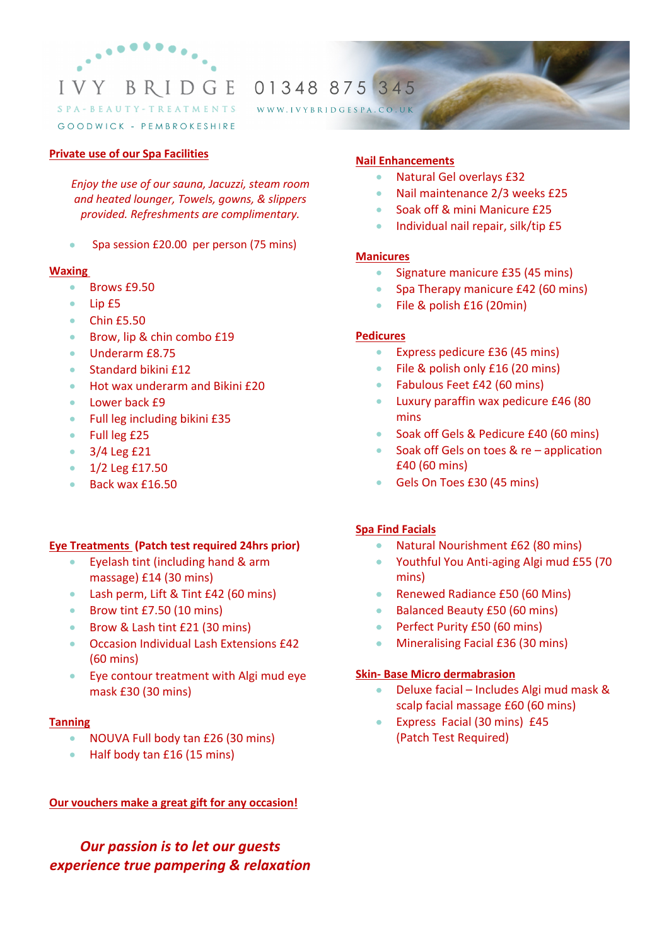

01348 875 345

WWW.IVYBRIDGESPA.CO.UK

#### GOODWICK - PEMBROKESHIRE

#### **Private use of our Spa Facilities**

*Enjoy the use of our sauna, Jacuzzi, steam room and heated lounger, Towels, gowns, & slippers provided. Refreshments are complimentary.*

• Spa session £20.00 per person (75 mins)

### **Waxing**

- Brows £9.50
- Lip £5
- Chin £5.50
- Brow, lip & chin combo £19
- Underarm £8.75
- Standard bikini £12
- Hot wax underarm and Bikini £20
- Lower back £9
- Full leg including bikini £35
- Full leg £25
- 3/4 Leg £21
- 1/2 Leg £17.50
- Back wax £16.50

### **Eye Treatments (Patch test required 24hrs prior)**

- Eyelash tint (including hand & arm massage) £14 (30 mins)
- Lash perm, Lift & Tint £42 (60 mins)
- Brow tint £7.50 (10 mins)
- Brow & Lash tint £21 (30 mins)
- Occasion Individual Lash Extensions £42 (60 mins)
- Eye contour treatment with Algi mud eye mask £30 (30 mins)

#### **Tanning**

- NOUVA Full body tan £26 (30 mins)
- Half body tan £16 (15 mins)

## **Our vouchers make a great gift for any occasion!**

*Our passion is to let our guests experience true pampering & relaxation*

## **Nail Enhancements**

- Natural Gel overlays £32
- Nail maintenance 2/3 weeks £25
- Soak off & mini Manicure £25
- Individual nail repair, silk/tip £5

### **Manicures**

- Signature manicure £35 (45 mins)
- Spa Therapy manicure £42 (60 mins)
- File & polish £16 (20min)

### **Pedicures**

- Express pedicure £36 (45 mins)
- File & polish only £16 (20 mins)
- Fabulous Feet £42 (60 mins)
- Luxury paraffin wax pedicure £46 (80 mins
- Soak off Gels & Pedicure £40 (60 mins)
- Soak off Gels on toes & re application £40 (60 mins)
- Gels On Toes £30 (45 mins)

## **Spa Find Facials**

- Natural Nourishment £62 (80 mins)
- Youthful You Anti-aging Algi mud £55 (70 mins)
- Renewed Radiance £50 (60 Mins)
- Balanced Beauty £50 (60 mins)
- Perfect Purity £50 (60 mins)
- Mineralising Facial £36 (30 mins)

### **Skin- Base Micro dermabrasion**

- Deluxe facial Includes Algi mud mask & scalp facial massage £60 (60 mins)
- Express Facial (30 mins) £45 (Patch Test Required)